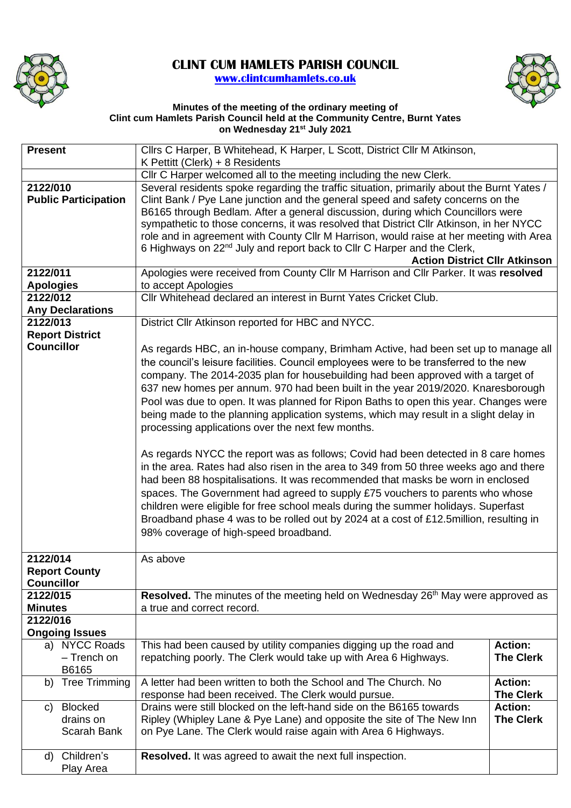

## **CLINT CUM HAMLETS PARISH COUNCIL [www.clintcumhamlets.co.uk](http://www.clintcumhamlets.co.uk/)**



## **Minutes of the meeting of the ordinary meeting of Clint cum Hamlets Parish Council held at the Community Centre, Burnt Yates on Wednesday 21st July 2021**

| <b>Present</b>                              |                                       | Cllrs C Harper, B Whitehead, K Harper, L Scott, District Cllr M Atkinson,                                                                                                                                                                                                                                                                                                                                                                                                                                                                                                                                                                                                                                                                                                                                                                                                                                                                                                                                                                                                        |                                    |  |  |  |
|---------------------------------------------|---------------------------------------|----------------------------------------------------------------------------------------------------------------------------------------------------------------------------------------------------------------------------------------------------------------------------------------------------------------------------------------------------------------------------------------------------------------------------------------------------------------------------------------------------------------------------------------------------------------------------------------------------------------------------------------------------------------------------------------------------------------------------------------------------------------------------------------------------------------------------------------------------------------------------------------------------------------------------------------------------------------------------------------------------------------------------------------------------------------------------------|------------------------------------|--|--|--|
|                                             |                                       | K Pettitt (Clerk) + 8 Residents                                                                                                                                                                                                                                                                                                                                                                                                                                                                                                                                                                                                                                                                                                                                                                                                                                                                                                                                                                                                                                                  |                                    |  |  |  |
|                                             |                                       | Cllr C Harper welcomed all to the meeting including the new Clerk.                                                                                                                                                                                                                                                                                                                                                                                                                                                                                                                                                                                                                                                                                                                                                                                                                                                                                                                                                                                                               |                                    |  |  |  |
| 2122/010<br><b>Public Participation</b>     |                                       | Several residents spoke regarding the traffic situation, primarily about the Burnt Yates /<br>Clint Bank / Pye Lane junction and the general speed and safety concerns on the<br>B6165 through Bedlam. After a general discussion, during which Councillors were<br>sympathetic to those concerns, it was resolved that District Cllr Atkinson, in her NYCC<br>role and in agreement with County Cllr M Harrison, would raise at her meeting with Area<br>6 Highways on 22 <sup>nd</sup> July and report back to Cllr C Harper and the Clerk,<br><b>Action District Cllr Atkinson</b>                                                                                                                                                                                                                                                                                                                                                                                                                                                                                            |                                    |  |  |  |
| 2122/011                                    |                                       | Apologies were received from County Cllr M Harrison and Cllr Parker. It was resolved                                                                                                                                                                                                                                                                                                                                                                                                                                                                                                                                                                                                                                                                                                                                                                                                                                                                                                                                                                                             |                                    |  |  |  |
| <b>Apologies</b>                            |                                       | to accept Apologies                                                                                                                                                                                                                                                                                                                                                                                                                                                                                                                                                                                                                                                                                                                                                                                                                                                                                                                                                                                                                                                              |                                    |  |  |  |
| 2122/012                                    |                                       | Cllr Whitehead declared an interest in Burnt Yates Cricket Club.                                                                                                                                                                                                                                                                                                                                                                                                                                                                                                                                                                                                                                                                                                                                                                                                                                                                                                                                                                                                                 |                                    |  |  |  |
|                                             | <b>Any Declarations</b>               |                                                                                                                                                                                                                                                                                                                                                                                                                                                                                                                                                                                                                                                                                                                                                                                                                                                                                                                                                                                                                                                                                  |                                    |  |  |  |
| 2122/013                                    |                                       | District Cllr Atkinson reported for HBC and NYCC.                                                                                                                                                                                                                                                                                                                                                                                                                                                                                                                                                                                                                                                                                                                                                                                                                                                                                                                                                                                                                                |                                    |  |  |  |
|                                             |                                       |                                                                                                                                                                                                                                                                                                                                                                                                                                                                                                                                                                                                                                                                                                                                                                                                                                                                                                                                                                                                                                                                                  |                                    |  |  |  |
| <b>Report District</b><br><b>Councillor</b> |                                       | As regards HBC, an in-house company, Brimham Active, had been set up to manage all                                                                                                                                                                                                                                                                                                                                                                                                                                                                                                                                                                                                                                                                                                                                                                                                                                                                                                                                                                                               |                                    |  |  |  |
|                                             |                                       | the council's leisure facilities. Council employees were to be transferred to the new<br>company. The 2014-2035 plan for housebuilding had been approved with a target of<br>637 new homes per annum. 970 had been built in the year 2019/2020. Knaresborough<br>Pool was due to open. It was planned for Ripon Baths to open this year. Changes were<br>being made to the planning application systems, which may result in a slight delay in<br>processing applications over the next few months.<br>As regards NYCC the report was as follows; Covid had been detected in 8 care homes<br>in the area. Rates had also risen in the area to 349 from 50 three weeks ago and there<br>had been 88 hospitalisations. It was recommended that masks be worn in enclosed<br>spaces. The Government had agreed to supply £75 vouchers to parents who whose<br>children were eligible for free school meals during the summer holidays. Superfast<br>Broadband phase 4 was to be rolled out by 2024 at a cost of £12.5million, resulting in<br>98% coverage of high-speed broadband. |                                    |  |  |  |
| 2122/014                                    |                                       | As above                                                                                                                                                                                                                                                                                                                                                                                                                                                                                                                                                                                                                                                                                                                                                                                                                                                                                                                                                                                                                                                                         |                                    |  |  |  |
|                                             | <b>Report County</b>                  |                                                                                                                                                                                                                                                                                                                                                                                                                                                                                                                                                                                                                                                                                                                                                                                                                                                                                                                                                                                                                                                                                  |                                    |  |  |  |
| <b>Councillor</b>                           |                                       |                                                                                                                                                                                                                                                                                                                                                                                                                                                                                                                                                                                                                                                                                                                                                                                                                                                                                                                                                                                                                                                                                  |                                    |  |  |  |
| 2122/015                                    |                                       | Resolved. The minutes of the meeting held on Wednesday 26 <sup>th</sup> May were approved as                                                                                                                                                                                                                                                                                                                                                                                                                                                                                                                                                                                                                                                                                                                                                                                                                                                                                                                                                                                     |                                    |  |  |  |
| <b>Minutes</b>                              |                                       | a true and correct record.                                                                                                                                                                                                                                                                                                                                                                                                                                                                                                                                                                                                                                                                                                                                                                                                                                                                                                                                                                                                                                                       |                                    |  |  |  |
| 2122/016                                    |                                       |                                                                                                                                                                                                                                                                                                                                                                                                                                                                                                                                                                                                                                                                                                                                                                                                                                                                                                                                                                                                                                                                                  |                                    |  |  |  |
|                                             | <b>Ongoing Issues</b>                 |                                                                                                                                                                                                                                                                                                                                                                                                                                                                                                                                                                                                                                                                                                                                                                                                                                                                                                                                                                                                                                                                                  | <b>Action:</b>                     |  |  |  |
|                                             | a) NYCC Roads<br>- Trench on<br>B6165 | This had been caused by utility companies digging up the road and<br>repatching poorly. The Clerk would take up with Area 6 Highways.                                                                                                                                                                                                                                                                                                                                                                                                                                                                                                                                                                                                                                                                                                                                                                                                                                                                                                                                            | <b>The Clerk</b>                   |  |  |  |
| b)                                          | <b>Tree Trimming</b>                  | A letter had been written to both the School and The Church. No<br>response had been received. The Clerk would pursue.                                                                                                                                                                                                                                                                                                                                                                                                                                                                                                                                                                                                                                                                                                                                                                                                                                                                                                                                                           | <b>Action:</b><br><b>The Clerk</b> |  |  |  |
| C)                                          | <b>Blocked</b>                        | Drains were still blocked on the left-hand side on the B6165 towards                                                                                                                                                                                                                                                                                                                                                                                                                                                                                                                                                                                                                                                                                                                                                                                                                                                                                                                                                                                                             | <b>Action:</b>                     |  |  |  |
|                                             | drains on<br>Scarah Bank              | Ripley (Whipley Lane & Pye Lane) and opposite the site of The New Inn<br>on Pye Lane. The Clerk would raise again with Area 6 Highways.                                                                                                                                                                                                                                                                                                                                                                                                                                                                                                                                                                                                                                                                                                                                                                                                                                                                                                                                          | <b>The Clerk</b>                   |  |  |  |
| d)                                          | Children's<br>Play Area               | Resolved. It was agreed to await the next full inspection.                                                                                                                                                                                                                                                                                                                                                                                                                                                                                                                                                                                                                                                                                                                                                                                                                                                                                                                                                                                                                       |                                    |  |  |  |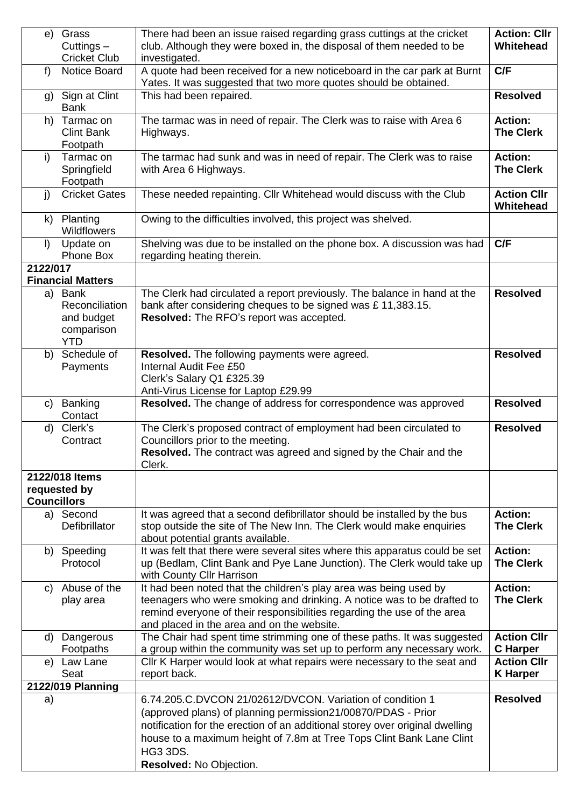| e)                 | Grass                      | There had been an issue raised regarding grass cuttings at the cricket                              | <b>Action: Cllr</b>                |
|--------------------|----------------------------|-----------------------------------------------------------------------------------------------------|------------------------------------|
|                    | Cuttings $-$               | club. Although they were boxed in, the disposal of them needed to be                                | Whitehead                          |
|                    | <b>Cricket Club</b>        | investigated.                                                                                       |                                    |
| $f$ )              | Notice Board               | A quote had been received for a new noticeboard in the car park at Burnt                            | C/F                                |
|                    |                            | Yates. It was suggested that two more quotes should be obtained.                                    |                                    |
|                    | g) Sign at Clint           | This had been repaired.                                                                             | <b>Resolved</b>                    |
|                    | <b>Bank</b>                |                                                                                                     |                                    |
| h)                 | Tarmac on                  | The tarmac was in need of repair. The Clerk was to raise with Area 6                                | <b>Action:</b>                     |
|                    | <b>Clint Bank</b>          | Highways.                                                                                           | <b>The Clerk</b>                   |
|                    | Footpath                   |                                                                                                     |                                    |
| i)                 | Tarmac on                  | The tarmac had sunk and was in need of repair. The Clerk was to raise                               | <b>Action:</b>                     |
|                    | Springfield                | with Area 6 Highways.                                                                               | <b>The Clerk</b>                   |
|                    | Footpath                   |                                                                                                     |                                    |
| j)                 | <b>Cricket Gates</b>       | These needed repainting. Cllr Whitehead would discuss with the Club                                 | <b>Action Cllr</b>                 |
|                    |                            |                                                                                                     | Whitehead                          |
| k)                 | Planting                   | Owing to the difficulties involved, this project was shelved.                                       |                                    |
|                    | Wildflowers                |                                                                                                     |                                    |
| $\vert$            | Update on                  | Shelving was due to be installed on the phone box. A discussion was had                             | C/F                                |
|                    | Phone Box                  | regarding heating therein.                                                                          |                                    |
| 2122/017           |                            |                                                                                                     |                                    |
|                    | <b>Financial Matters</b>   |                                                                                                     |                                    |
| a)                 | Bank                       | The Clerk had circulated a report previously. The balance in hand at the                            | <b>Resolved</b>                    |
|                    | Reconciliation             | bank after considering cheques to be signed was £11,383.15.                                         |                                    |
|                    | and budget                 | Resolved: The RFO's report was accepted.                                                            |                                    |
|                    | comparison                 |                                                                                                     |                                    |
|                    | <b>YTD</b>                 |                                                                                                     |                                    |
| b)                 | Schedule of                | Resolved. The following payments were agreed.                                                       | <b>Resolved</b>                    |
|                    | Payments                   | Internal Audit Fee £50                                                                              |                                    |
|                    |                            | Clerk's Salary Q1 £325.39                                                                           |                                    |
|                    |                            | Anti-Virus License for Laptop £29.99                                                                |                                    |
|                    |                            |                                                                                                     |                                    |
| $\mathsf{C}$       | Banking                    | Resolved. The change of address for correspondence was approved                                     | <b>Resolved</b>                    |
|                    | Contact                    |                                                                                                     |                                    |
| d)                 | Clerk's                    | The Clerk's proposed contract of employment had been circulated to                                  | <b>Resolved</b>                    |
|                    | Contract                   | Councillors prior to the meeting.                                                                   |                                    |
|                    |                            | Resolved. The contract was agreed and signed by the Chair and the                                   |                                    |
|                    |                            | Clerk.                                                                                              |                                    |
|                    | 2122/018 Items             |                                                                                                     |                                    |
|                    | requested by               |                                                                                                     |                                    |
| <b>Councillors</b> |                            |                                                                                                     |                                    |
|                    | a) Second<br>Defibrillator | It was agreed that a second defibrillator should be installed by the bus                            | <b>Action:</b><br><b>The Clerk</b> |
|                    |                            | stop outside the site of The New Inn. The Clerk would make enquiries                                |                                    |
|                    |                            | about potential grants available.                                                                   | <b>Action:</b>                     |
|                    | b) Speeding<br>Protocol    | It was felt that there were several sites where this apparatus could be set                         | <b>The Clerk</b>                   |
|                    |                            | up (Bedlam, Clint Bank and Pye Lane Junction). The Clerk would take up<br>with County Cllr Harrison |                                    |
| C)                 | Abuse of the               | It had been noted that the children's play area was being used by                                   | <b>Action:</b>                     |
|                    | play area                  | teenagers who were smoking and drinking. A notice was to be drafted to                              | <b>The Clerk</b>                   |
|                    |                            | remind everyone of their responsibilities regarding the use of the area                             |                                    |
|                    |                            | and placed in the area and on the website.                                                          |                                    |
| d)                 | Dangerous                  | The Chair had spent time strimming one of these paths. It was suggested                             | <b>Action Cllr</b>                 |
|                    | Footpaths                  | a group within the community was set up to perform any necessary work.                              | <b>C</b> Harper                    |
| e)                 | Law Lane                   | Cllr K Harper would look at what repairs were necessary to the seat and                             | <b>Action Cllr</b>                 |
|                    | Seat                       | report back.                                                                                        | <b>K</b> Harper                    |
|                    | 2122/019 Planning          |                                                                                                     |                                    |
| a)                 |                            | 6.74.205.C.DVCON 21/02612/DVCON. Variation of condition 1                                           | <b>Resolved</b>                    |
|                    |                            | (approved plans) of planning permission21/00870/PDAS - Prior                                        |                                    |
|                    |                            | notification for the erection of an additional storey over original dwelling                        |                                    |
|                    |                            | house to a maximum height of 7.8m at Tree Tops Clint Bank Lane Clint                                |                                    |
|                    |                            | <b>HG3 3DS.</b>                                                                                     |                                    |